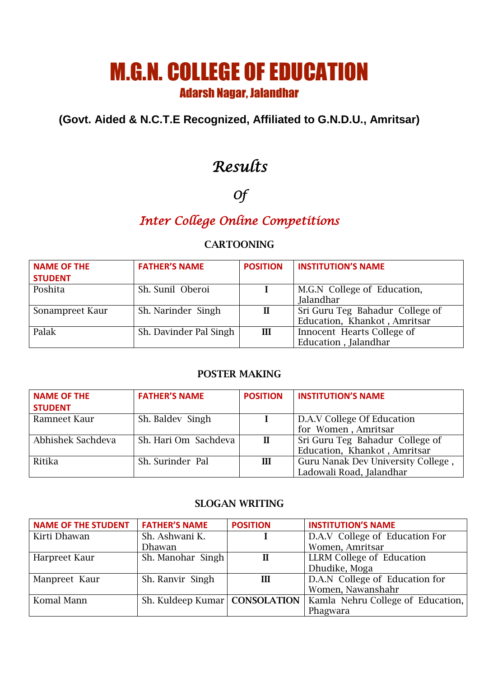# M.G.N. COLLEGE OF EDUCATION Adarsh Nagar, Jalandhar

### **(Govt. Aided & N.C.T.E Recognized, Affiliated to G.N.D.U., Amritsar)**

## *Results*

# *Of*

## *Inter College Online Competitions*

#### CARTOONING

| <b>NAME OF THE</b> | <b>FATHER'S NAME</b>   | <b>POSITION</b> | <b>INSTITUTION'S NAME</b>       |
|--------------------|------------------------|-----------------|---------------------------------|
| <b>STUDENT</b>     |                        |                 |                                 |
| Poshita            | Sh. Sunil Oberoi       |                 | M.G.N College of Education,     |
|                    |                        |                 | Jalandhar                       |
| Sonampreet Kaur    | Sh. Narinder Singh     | $\mathbf{I}$    | Sri Guru Teg Bahadur College of |
|                    |                        |                 | Education, Khankot, Amritsar    |
| Palak              | Sh. Davinder Pal Singh | Ш               | Innocent Hearts College of      |
|                    |                        |                 | Education, Jalandhar            |

#### POSTER MAKING

| <b>NAME OF THE</b><br><b>STUDENT</b> | <b>FATHER'S NAME</b> | <b>POSITION</b> | <b>INSTITUTION'S NAME</b>          |
|--------------------------------------|----------------------|-----------------|------------------------------------|
|                                      |                      |                 |                                    |
| Ramneet Kaur                         | Sh. Baldev Singh     |                 | D.A.V College Of Education         |
|                                      |                      |                 | for Women, Amritsar                |
| Abhishek Sachdeva                    | Sh. Hari Om Sachdeva | $\mathbf{I}$    | Sri Guru Teg Bahadur College of    |
|                                      |                      |                 | Education, Khankot, Amritsar       |
| Ritika                               | Sh. Surinder Pal     | III             | Guru Nanak Dev University College, |
|                                      |                      |                 | Ladowali Road, Jalandhar           |

#### SLOGAN WRITING

| <b>NAME OF THE STUDENT</b> | <b>FATHER'S NAME</b>            | <b>POSITION</b> | <b>INSTITUTION'S NAME</b>         |
|----------------------------|---------------------------------|-----------------|-----------------------------------|
| Kirti Dhawan               | Sh. Ashwani K.                  |                 | D.A.V College of Education For    |
|                            | Dhawan                          |                 | Women, Amritsar                   |
| Harpreet Kaur              | Sh. Manohar Singh               | $\mathbf{I}$    | <b>LLRM College of Education</b>  |
|                            |                                 |                 | Dhudike, Moga                     |
| Manpreet Kaur              | Sh. Ranvir Singh                | Ш               | D.A.N College of Education for    |
|                            |                                 |                 | Women, Nawanshahr                 |
| Komal Mann                 | Sh. Kuldeep Kumar   CONSOLATION |                 | Kamla Nehru College of Education, |
|                            |                                 |                 | Phagwara                          |